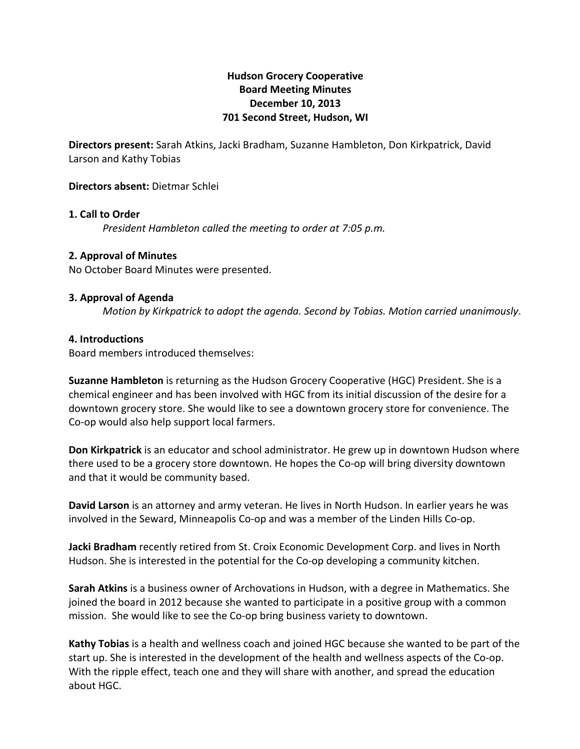# **Hudson'Grocery'Cooperative Board'Meeting'Minutes December'10,'2013 701 Second Street, Hudson, WI**

Directors present: Sarah Atkins, Jacki Bradham, Suzanne Hambleton, Don Kirkpatrick, David Larson and Kathy Tobias

## **Directors absent: Dietmar Schlei**

#### **1. Call to Order**

*President Hambleton called the meeting to order at 7:05 p.m.* 

#### **2. Approval of Minutes**

No October Board Minutes were presented.

#### **3. Approval of Agenda**

*Motion by Kirkpatrick to adopt the agenda. Second by Tobias. Motion carried unanimously.* 

#### **4.'Introductions**

Board members introduced themselves:

**Suzanne Hambleton** is returning as the Hudson Grocery Cooperative (HGC) President. She is a chemical engineer and has been involved with HGC from its initial discussion of the desire for a downtown grocery store. She would like to see a downtown grocery store for convenience. The Co-op would also help support local farmers.

**Don Kirkpatrick** is an educator and school administrator. He grew up in downtown Hudson where there used to be a grocery store downtown. He hopes the Co-op will bring diversity downtown and that it would be community based.

**David Larson** is an attorney and army veteran. He lives in North Hudson. In earlier years he was involved in the Seward, Minneapolis Co-op and was a member of the Linden Hills Co-op.

**Jacki Bradham** recently retired from St. Croix Economic Development Corp. and lives in North Hudson. She is interested in the potential for the Co-op developing a community kitchen.

**Sarah Atkins** is a business owner of Archovations in Hudson, with a degree in Mathematics. She joined the board in 2012 because she wanted to participate in a positive group with a common mission. She would like to see the Co-op bring business variety to downtown.

Kathy Tobias is a health and wellness coach and joined HGC because she wanted to be part of the start up. She is interested in the development of the health and wellness aspects of the Co-op. With the ripple effect, teach one and they will share with another, and spread the education about HGC.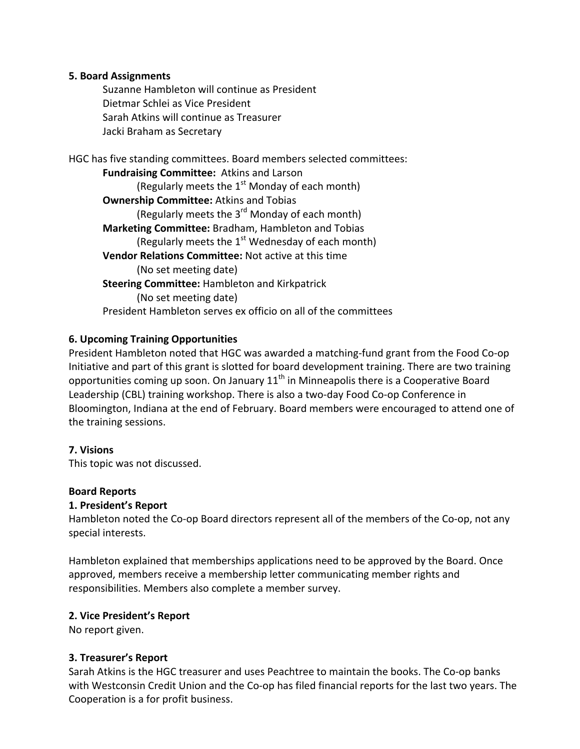## **5.'Board'Assignments**

Suzanne Hambleton will continue as President Dietmar Schlei as Vice President Sarah Atkins will continue as Treasurer Jacki Braham as Secretary

HGC has five standing committees. Board members selected committees: **Fundraising Committee: Atkins and Larson** (Regularly meets the  $1<sup>st</sup>$  Monday of each month) **Ownership Committee: Atkins and Tobias** (Regularly meets the  $3^{rd}$  Monday of each month) Marketing Committee: Bradham, Hambleton and Tobias (Regularly meets the  $1<sup>st</sup>$  Wednesday of each month) **Vendor Relations Committee: Not active at this time** (No set meeting date) **Steering Committee: Hambleton and Kirkpatrick** (No set meeting date) President Hambleton serves ex officio on all of the committees

# **6.'Upcoming'Training'Opportunities**

President Hambleton noted that HGC was awarded a matching-fund grant from the Food Co-op Initiative and part of this grant is slotted for board development training. There are two training opportunities coming up soon. On January  $11<sup>th</sup>$  in Minneapolis there is a Cooperative Board Leadership (CBL) training workshop. There is also a two-day Food Co-op Conference in Bloomington, Indiana at the end of February. Board members were encouraged to attend one of the training sessions.

## **7.'Visions**

This topic was not discussed.

## **Board'Reports**

## 1. President's Report

Hambleton noted the Co-op Board directors represent all of the members of the Co-op, not any special interests.

Hambleton explained that memberships applications need to be approved by the Board. Once approved, members receive a membership letter communicating member rights and responsibilities. Members also complete a member survey.

## **2.'Vice'President's Report**

No report given.

## **3. Treasurer's Report**

Sarah Atkins is the HGC treasurer and uses Peachtree to maintain the books. The Co-op banks with Westconsin Credit Union and the Co-op has filed financial reports for the last two years. The Cooperation is a for profit business.